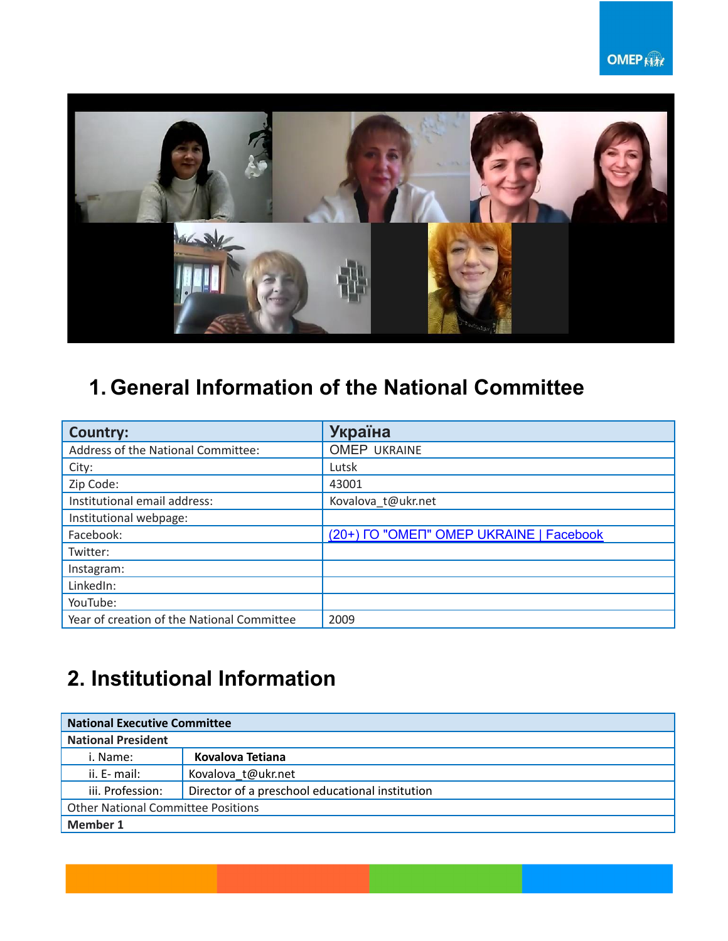

## **1. General Information of the National Committee**

| <b>Country:</b>                            | <b>Україна</b>                          |
|--------------------------------------------|-----------------------------------------|
| Address of the National Committee:         | <b>OMEP UKRAINE</b>                     |
| City:                                      | Lutsk                                   |
| Zip Code:                                  | 43001                                   |
| Institutional email address:               | Kovalova_t@ukr.net                      |
| Institutional webpage:                     |                                         |
| Facebook:                                  | (20+) FO "OMEN" OMEP UKRAINE   Facebook |
| Twitter:                                   |                                         |
| Instagram:                                 |                                         |
| LinkedIn:                                  |                                         |
| YouTube:                                   |                                         |
| Year of creation of the National Committee | 2009                                    |

### **2. Institutional Information**

| <b>National Executive Committee</b>       |                                                 |  |
|-------------------------------------------|-------------------------------------------------|--|
| <b>National President</b>                 |                                                 |  |
| i. Name:                                  | Kovalova Tetiana                                |  |
| ii. E- mail:                              | Kovalova t@ukr.net                              |  |
| iii. Profession:                          | Director of a preschool educational institution |  |
| <b>Other National Committee Positions</b> |                                                 |  |
| <b>Member 1</b>                           |                                                 |  |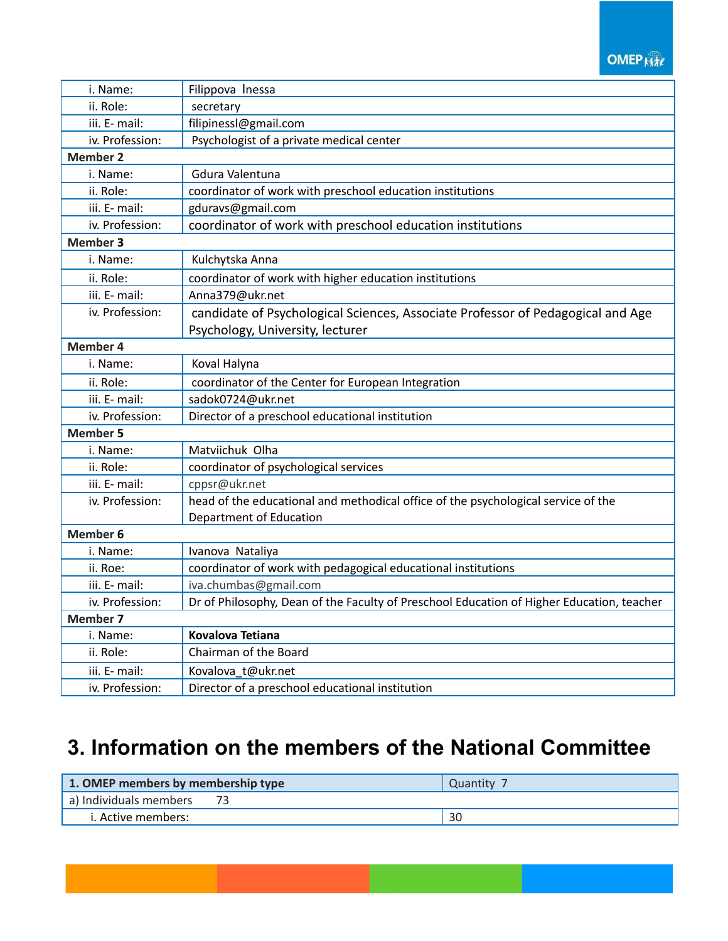#### **OMEP RM**

| i. Name:        | Filippova Inessa                                                                                                    |  |  |
|-----------------|---------------------------------------------------------------------------------------------------------------------|--|--|
| ii. Role:       | secretary                                                                                                           |  |  |
| iii. E- mail:   | filipinessl@gmail.com                                                                                               |  |  |
| iv. Profession: | Psychologist of a private medical center                                                                            |  |  |
| <b>Member 2</b> |                                                                                                                     |  |  |
| i. Name:        | Gdura Valentuna                                                                                                     |  |  |
| ii. Role:       | coordinator of work with preschool education institutions                                                           |  |  |
| iii. E- mail:   | gduravs@gmail.com                                                                                                   |  |  |
| iv. Profession: | coordinator of work with preschool education institutions                                                           |  |  |
| <b>Member 3</b> |                                                                                                                     |  |  |
| i. Name:        | Kulchytska Anna                                                                                                     |  |  |
| ii. Role:       | coordinator of work with higher education institutions                                                              |  |  |
| iii. E- mail:   | Anna379@ukr.net                                                                                                     |  |  |
| iv. Profession: | candidate of Psychological Sciences, Associate Professor of Pedagogical and Age<br>Psychology, University, lecturer |  |  |
| <b>Member 4</b> |                                                                                                                     |  |  |
| i. Name:        | Koval Halyna                                                                                                        |  |  |
| ii. Role:       | coordinator of the Center for European Integration                                                                  |  |  |
| iii. E- mail:   | sadok0724@ukr.net                                                                                                   |  |  |
| iv. Profession: | Director of a preschool educational institution                                                                     |  |  |
| <b>Member 5</b> |                                                                                                                     |  |  |
| i. Name:        | Matviichuk Olha                                                                                                     |  |  |
| ii. Role:       | coordinator of psychological services                                                                               |  |  |
| iii. E- mail:   | cppsr@ukr.net                                                                                                       |  |  |
| iv. Profession: | head of the educational and methodical office of the psychological service of the                                   |  |  |
|                 | Department of Education                                                                                             |  |  |
| <b>Member 6</b> |                                                                                                                     |  |  |
| i. Name:        | Ivanova Nataliya                                                                                                    |  |  |
| ii. Roe:        | coordinator of work with pedagogical educational institutions                                                       |  |  |
| iii. E- mail:   | iva.chumbas@gmail.com                                                                                               |  |  |
| iv. Profession: | Dr of Philosophy, Dean of the Faculty of Preschool Education of Higher Education, teacher                           |  |  |
| <b>Member 7</b> |                                                                                                                     |  |  |
| i. Name:        | <b>Kovalova Tetiana</b>                                                                                             |  |  |
| ii. Role:       | Chairman of the Board                                                                                               |  |  |
| iii. E- mail:   | Kovalova t@ukr.net                                                                                                  |  |  |
| iv. Profession: | Director of a preschool educational institution                                                                     |  |  |

## **3. Information on the members of the National Committee**

| 1. OMEP members by membership type | <b>Quantity</b> |
|------------------------------------|-----------------|
| a) Individuals members             |                 |
| i. Active members:                 | 30              |